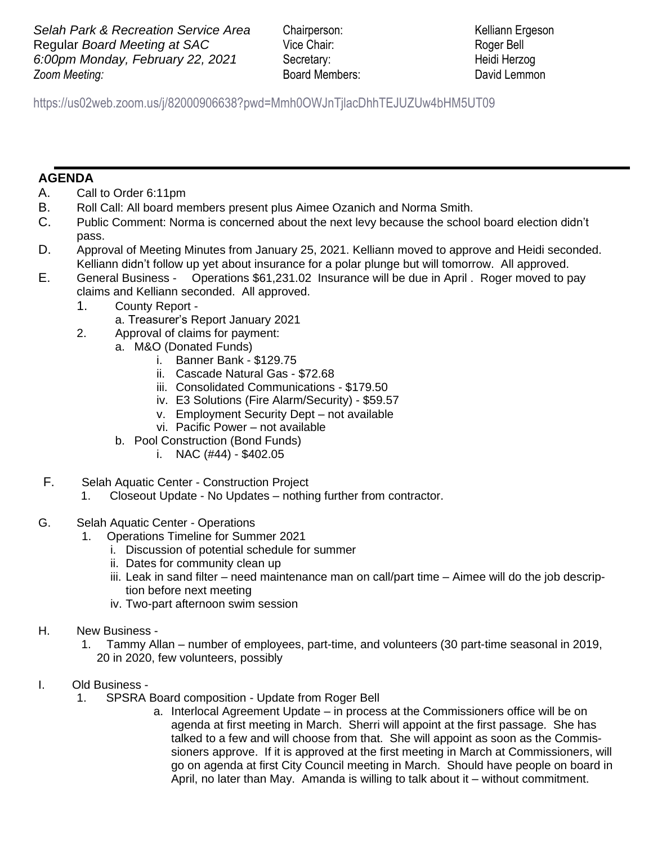**Zoom Meeting: Selah Park & Recreation Service Area** Chairperson: Kelliann Ergeson **Regular** *Board Meeting at SAC* Vice Chair: Roger Bell *6:00pm Monday, February 22, 2021* Secretary: Heidi Herzog

*Zooma* Board Members: David Lemmon

 https://us02web.zoom.us/j/82000906638?pwd=Mmh0OWJnTjlacDhhTEJUZUw4bHM5UT09

## **AGENDA**

- A. Call to Order 6:11pm
- B. Roll Call: All board members present plus Aimee Ozanich and Norma Smith.
- C. Public Comment: Norma is concerned about the next levy because the school board election didn't pass.
- D. Approval of Meeting Minutes from January 25, 2021. Kelliann moved to approve and Heidi seconded. Kelliann didn't follow up yet about insurance for a polar plunge but will tomorrow. All approved.
- E. General Business Operations \$61,231.02 Insurance will be due in April . Roger moved to pay claims and Kelliann seconded. All approved.
	- 1. County Report
		- a. Treasurer's Report January 2021
	- 2. Approval of claims for payment:
		- a. M&O (Donated Funds)
			- i. Banner Bank \$129.75
			- ii. Cascade Natural Gas \$72.68
			- iii. Consolidated Communications \$179.50
			- iv. E3 Solutions (Fire Alarm/Security) \$59.57
			- v. Employment Security Dept not available
			- vi. Pacific Power not available
			- b. Pool Construction (Bond Funds)
				- i. NAC  $(\#44)$  \$402.05
- F. Selah Aquatic Center Construction Project
	- 1. Closeout Update No Updates nothing further from contractor.
- G. Selah Aquatic Center Operations
	- 1. Operations Timeline for Summer 2021
		- i. Discussion of potential schedule for summer
		- ii. Dates for community clean up
		- iii. Leak in sand filter need maintenance man on call/part time Aimee will do the job description before next meeting
		- iv. Two-part afternoon swim session
- H. New Business
	- 1. Tammy Allan number of employees, part-time, and volunteers (30 part-time seasonal in 2019, 20 in 2020, few volunteers, possibly
- I. Old Business
	- 1. SPSRA Board composition Update from Roger Bell
		- a. Interlocal Agreement Update in process at the Commissioners office will be on agenda at first meeting in March. Sherri will appoint at the first passage. She has talked to a few and will choose from that. She will appoint as soon as the Commissioners approve. If it is approved at the first meeting in March at Commissioners, will go on agenda at first City Council meeting in March. Should have people on board in April, no later than May. Amanda is willing to talk about it – without commitment.